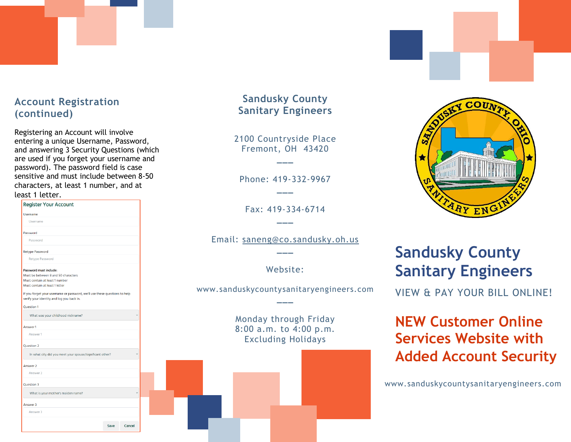# **Account Registration (continued)**

Registering an Account will involve entering a unique Username, Password, and answering 3 Security Questions (which are used if you forget your username and password). The password field is case sensitive and must include between 8-50 characters, at least 1 number, and at loast 1 lotter

| <b>Register Your Account</b>                                                                                            | Fax: 419-334-            |
|-------------------------------------------------------------------------------------------------------------------------|--------------------------|
| Username                                                                                                                |                          |
| <b>Username</b>                                                                                                         |                          |
| Password                                                                                                                |                          |
| Password                                                                                                                | Email: saneng@co.sar     |
| <b>Retype Password</b>                                                                                                  |                          |
| Retype Password                                                                                                         |                          |
| Password must include:                                                                                                  | Website:                 |
| Must be between 8 and 50 characters                                                                                     |                          |
| Must contain at least 1 number<br>Must contain at least 1 letter                                                        |                          |
|                                                                                                                         | www.sanduskycountysanita |
| If you forget your username or password, we'll use these questions to help<br>verify your identity and log you back in. |                          |
| <b>Question 1</b>                                                                                                       |                          |
| What was your childhood nickname?                                                                                       | Monday through           |
| Answer 1                                                                                                                | 8:00 a.m. to 4:0         |
| Answer1                                                                                                                 |                          |
| <b>Question 2</b>                                                                                                       | <b>Excluding Hol</b>     |
| In what city did you meet your spouse/significant other?                                                                |                          |
| Answer 2                                                                                                                |                          |
| Answer 2                                                                                                                |                          |
| <b>Ouestion 3</b>                                                                                                       |                          |
| What is your mother's maiden name?                                                                                      |                          |
| Answer 3                                                                                                                |                          |
| Answer 3                                                                                                                |                          |
|                                                                                                                         |                          |
| Save<br>Cancel                                                                                                          |                          |

#### **Sandusky County Sanitary Engineers**

2100 Countryside Place Fremont, OH 43420

**\_\_\_**

Phone: 419-332-9967 **\_\_\_**

 $-6714$ 

ndusky.oh.us

aryengineers.com

Friday 00 p.m. idays



# **Sandusky County Sanitary Engineers**

**VIEW & PAY YOUR BILL ONLINE!** 

# **NEW Customer Online Services Website with Added Account Security**

www.sanduskycountysanitaryengineers.com